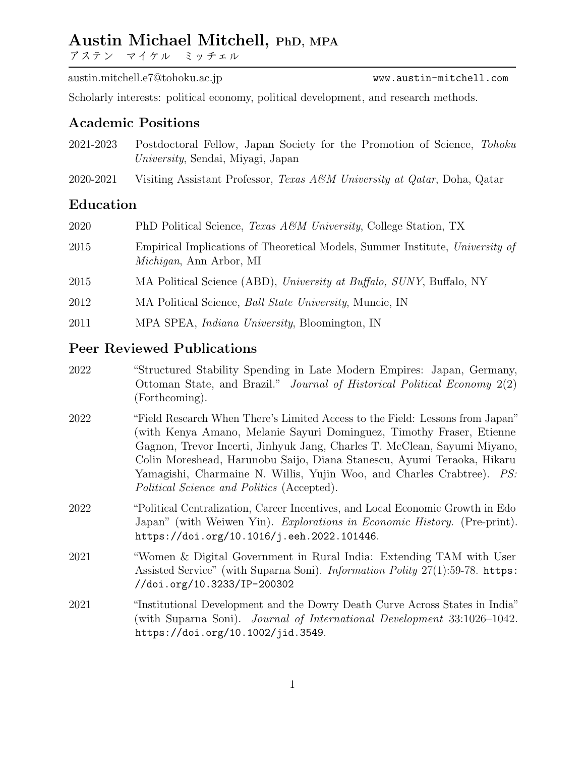# Austin Michael Mitchell, PhD, MPA

アステン・マイケル・ミッチェル

austin.mitchell.e7@tohoku.ac.jp <www.austin-mitchell.com>

Scholarly interests: political economy, political development, and research methods.

## Academic Positions

- 2021-2023 Postdoctoral Fellow, Japan Society for the Promotion of Science, Tohoku University, Sendai, Miyagi, Japan
- 2020-2021 Visiting Assistant Professor, Texas A&M University at Qatar, Doha, Qatar

## Education

| 2020 | PhD Political Science, <i>Texas A&amp;M University</i> , College Station, TX                                     |
|------|------------------------------------------------------------------------------------------------------------------|
| 2015 | Empirical Implications of Theoretical Models, Summer Institute, University of<br><i>Michigan</i> , Ann Arbor, MI |
| 2015 | MA Political Science (ABD), University at Buffalo, SUNY, Buffalo, NY                                             |
| 2012 | MA Political Science, <i>Ball State University</i> , Muncie, IN                                                  |
| 2011 | MPA SPEA, <i>Indiana University</i> , Bloomington, IN                                                            |
|      |                                                                                                                  |

## Peer Reviewed Publications

- 2022 "Structured Stability Spending in Late Modern Empires: Japan, Germany, Ottoman State, and Brazil." Journal of Historical Political Economy 2(2) (Forthcoming).
- 2022 "Field Research When There's Limited Access to the Field: Lessons from Japan" (with Kenya Amano, Melanie Sayuri Dominguez, Timothy Fraser, Etienne Gagnon, Trevor Incerti, Jinhyuk Jang, Charles T. McClean, Sayumi Miyano, Colin Moreshead, Harunobu Saijo, Diana Stanescu, Ayumi Teraoka, Hikaru Yamagishi, Charmaine N. Willis, Yujin Woo, and Charles Crabtree). PS: Political Science and Politics (Accepted).
- 2022 "Political Centralization, Career Incentives, and Local Economic Growth in Edo Japan" (with Weiwen Yin). Explorations in Economic History. (Pre-print). <https://doi.org/10.1016/j.eeh.2022.101446>.
- 2021 "Women & Digital Government in Rural India: Extending TAM with User Assisted Service" (with Suparna Soni). Information Polity 27(1):59-78. [https:](https://doi.org/10.3233/IP-200302) [//doi.org/10.3233/IP-200302](https://doi.org/10.3233/IP-200302)
- 2021 "Institutional Development and the Dowry Death Curve Across States in India" (with Suparna Soni). Journal of International Development 33:1026–1042. <https://doi.org/10.1002/jid.3549>.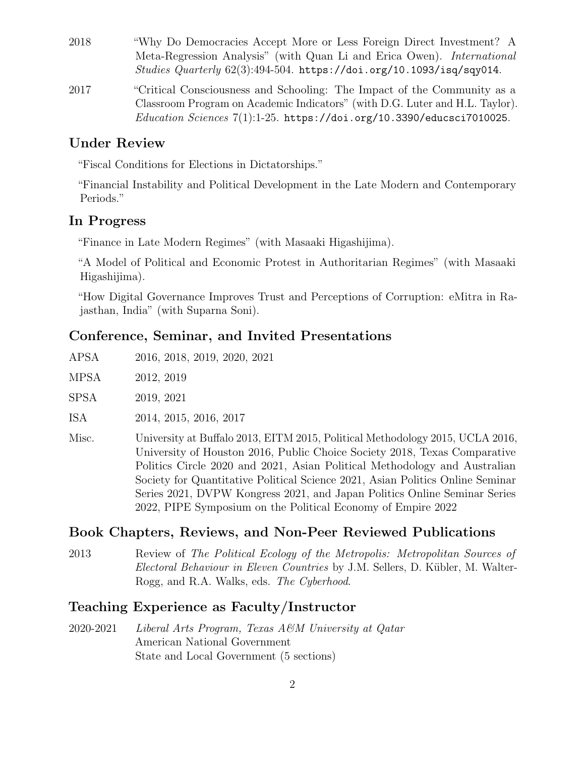- 2018 "Why Do Democracies Accept More or Less Foreign Direct Investment? A Meta-Regression Analysis" (with Quan Li and Erica Owen). International Studies Quarterly  $62(3):494-504$ . <https://doi.org/10.1093/isq/sqy014>.
- 2017 "Critical Consciousness and Schooling: The Impact of the Community as a Classroom Program on Academic Indicators" (with D.G. Luter and H.L. Taylor).  $Education$  Sciences  $7(1):1-25$ . <https://doi.org/10.3390/educsci7010025>.

## Under Review

"Fiscal Conditions for Elections in Dictatorships."

"Financial Instability and Political Development in the Late Modern and Contemporary Periods."

## In Progress

"Finance in Late Modern Regimes" (with Masaaki Higashijima).

"A Model of Political and Economic Protest in Authoritarian Regimes" (with Masaaki Higashijima).

"How Digital Governance Improves Trust and Perceptions of Corruption: eMitra in Rajasthan, India" (with Suparna Soni).

### Conference, Seminar, and Invited Presentations

| APSA |  |  | 2016, 2018, 2019, 2020, 2021 |  |  |
|------|--|--|------------------------------|--|--|
|------|--|--|------------------------------|--|--|

MPSA 2012, 2019

SPSA 2019, 2021

ISA 2014, 2015, 2016, 2017

Misc. University at Buffalo 2013, EITM 2015, Political Methodology 2015, UCLA 2016, University of Houston 2016, Public Choice Society 2018, Texas Comparative Politics Circle 2020 and 2021, Asian Political Methodology and Australian Society for Quantitative Political Science 2021, Asian Politics Online Seminar Series 2021, DVPW Kongress 2021, and Japan Politics Online Seminar Series 2022, PIPE Symposium on the Political Economy of Empire 2022

#### Book Chapters, Reviews, and Non-Peer Reviewed Publications

2013 Review of The Political Ecology of the Metropolis: Metropolitan Sources of Electoral Behaviour in Eleven Countries by J.M. Sellers, D. Kübler, M. Walter-Rogg, and R.A. Walks, eds. The Cyberhood.

### Teaching Experience as Faculty/Instructor

2020-2021 Liberal Arts Program, Texas A&M University at Qatar American National Government State and Local Government (5 sections)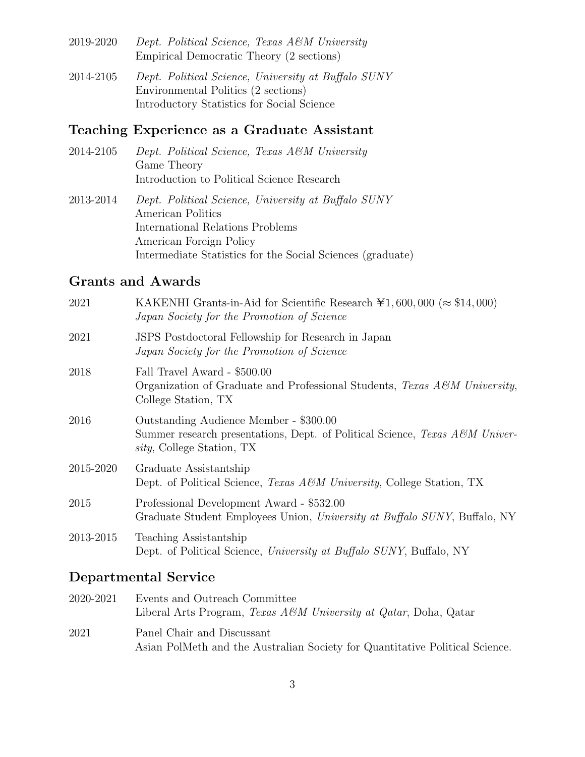- 2019-2020 Dept. Political Science, Texas A&M University Empirical Democratic Theory (2 sections)
- 2014-2105 Dept. Political Science, University at Buffalo SUNY Environmental Politics (2 sections) Introductory Statistics for Social Science

## Teaching Experience as a Graduate Assistant

- 2014-2105 Dept. Political Science, Texas A&M University Game Theory Introduction to Political Science Research
- 2013-2014 Dept. Political Science, University at Buffalo SUNY American Politics International Relations Problems American Foreign Policy Intermediate Statistics for the Social Sciences (graduate)

## Grants and Awards

| 2021      | KAKENHI Grants-in-Aid for Scientific Research $\yen$ 1, 600, 000 ( $\approx$ \$14, 000)<br>Japan Society for the Promotion of Science                       |
|-----------|-------------------------------------------------------------------------------------------------------------------------------------------------------------|
| 2021      | JSPS Postdoctoral Fellowship for Research in Japan<br>Japan Society for the Promotion of Science                                                            |
| 2018      | Fall Travel Award - \$500.00<br>Organization of Graduate and Professional Students, Texas $A\mathscr{C}M$ University,<br>College Station, TX                |
| 2016      | Outstanding Audience Member - \$300.00<br>Summer research presentations, Dept. of Political Science, Texas A&M Univer-<br><i>sity</i> , College Station, TX |
| 2015-2020 | Graduate Assistantship<br>Dept. of Political Science, <i>Texas A&amp;M University</i> , College Station, TX                                                 |
| 2015      | Professional Development Award - \$532.00<br>Graduate Student Employees Union, University at Buffalo SUNY, Buffalo, NY                                      |
| 2013-2015 | Teaching Assistantship<br>Dept. of Political Science, University at Buffalo SUNY, Buffalo, NY                                                               |

## Departmental Service

| 2020-2021 | Events and Outreach Committee<br>Liberal Arts Program, <i>Texas A&amp;M University at Qatar</i> , Doha, Qatar |
|-----------|---------------------------------------------------------------------------------------------------------------|
| 2021      | Panel Chair and Discussant<br>Asian PolMeth and the Australian Society for Quantitative Political Science.    |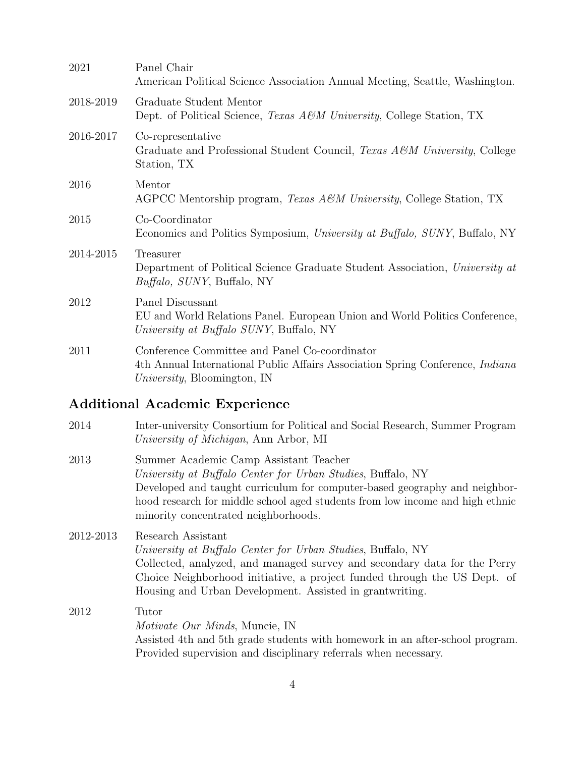| 2021      | Panel Chair<br>American Political Science Association Annual Meeting, Seattle, Washington.                                                                                    |
|-----------|-------------------------------------------------------------------------------------------------------------------------------------------------------------------------------|
| 2018-2019 | Graduate Student Mentor<br>Dept. of Political Science, <i>Texas A&amp;M University</i> , College Station, TX                                                                  |
| 2016-2017 | Co-representative<br>Graduate and Professional Student Council, Texas A&M University, College<br>Station, TX                                                                  |
| 2016      | Mentor<br>AGPCC Mentorship program, <i>Texas A&amp;M University</i> , College Station, TX                                                                                     |
| 2015      | Co-Coordinator<br>Economics and Politics Symposium, University at Buffalo, SUNY, Buffalo, NY                                                                                  |
| 2014-2015 | Treasurer<br>Department of Political Science Graduate Student Association, University at<br><i>Buffalo, SUNY</i> , Buffalo, NY                                                |
| 2012      | Panel Discussant<br>EU and World Relations Panel. European Union and World Politics Conference,<br>University at Buffalo SUNY, Buffalo, NY                                    |
| 2011      | Conference Committee and Panel Co-coordinator<br>4th Annual International Public Affairs Association Spring Conference, <i>Indiana</i><br><i>University</i> , Bloomington, IN |

# Additional Academic Experience

| 2014      | Inter-university Consortium for Political and Social Research, Summer Program<br>University of Michigan, Ann Arbor, MI                                                                                                                                                                                       |
|-----------|--------------------------------------------------------------------------------------------------------------------------------------------------------------------------------------------------------------------------------------------------------------------------------------------------------------|
| 2013      | Summer Academic Camp Assistant Teacher<br>University at Buffalo Center for Urban Studies, Buffalo, NY<br>Developed and taught curriculum for computer-based geography and neighbor-<br>hood research for middle school aged students from low income and high ethnic<br>minority concentrated neighborhoods. |
| 2012-2013 | Research Assistant<br>University at Buffalo Center for Urban Studies, Buffalo, NY<br>Collected, analyzed, and managed survey and secondary data for the Perry<br>Choice Neighborhood initiative, a project funded through the US Dept. of<br>Housing and Urban Development. Assisted in grantwriting.        |
| 2012      | Tutor<br><i>Motivate Our Minds</i> , Muncie, IN<br>Assisted 4th and 5th grade students with homework in an after-school program.                                                                                                                                                                             |